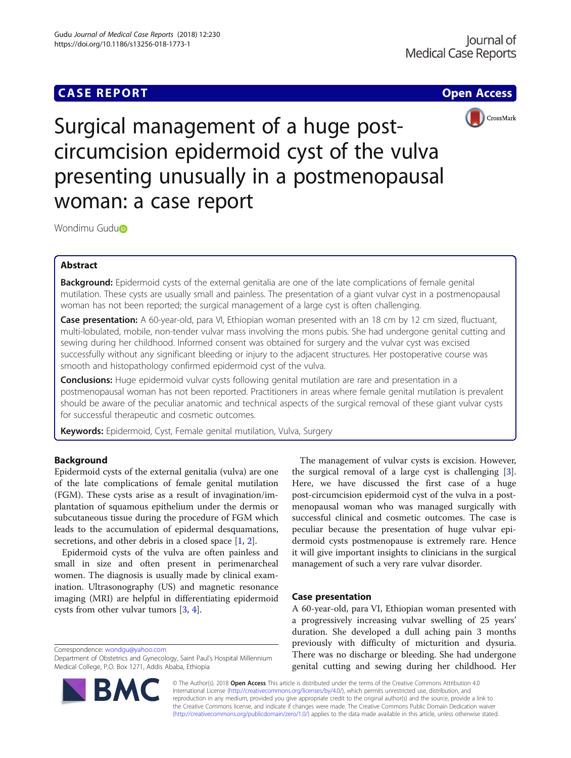# **CASE REPORT CASE REPORT CASE ACCESS**



Surgical management of a huge postcircumcision epidermoid cyst of the vulva presenting unusually in a postmenopausal woman: a case report

Wondim[u](http://orcid.org/0000-0003-3850-6712) Gudu<sup>b</sup>

# Abstract

Background: Epidermoid cysts of the external genitalia are one of the late complications of female genital mutilation. These cysts are usually small and painless. The presentation of a giant vulvar cyst in a postmenopausal woman has not been reported; the surgical management of a large cyst is often challenging.

Case presentation: A 60-year-old, para VI, Ethiopian woman presented with an 18 cm by 12 cm sized, fluctuant, multi-lobulated, mobile, non-tender vulvar mass involving the mons pubis. She had undergone genital cutting and sewing during her childhood. Informed consent was obtained for surgery and the vulvar cyst was excised successfully without any significant bleeding or injury to the adjacent structures. Her postoperative course was smooth and histopathology confirmed epidermoid cyst of the vulva.

**Conclusions:** Huge epidermoid vulvar cysts following genital mutilation are rare and presentation in a postmenopausal woman has not been reported. Practitioners in areas where female genital mutilation is prevalent should be aware of the peculiar anatomic and technical aspects of the surgical removal of these giant vulvar cysts for successful therapeutic and cosmetic outcomes.

Keywords: Epidermoid, Cyst, Female genital mutilation, Vulva, Surgery

# Background

Epidermoid cysts of the external genitalia (vulva) are one of the late complications of female genital mutilation (FGM). These cysts arise as a result of invagination/implantation of squamous epithelium under the dermis or subcutaneous tissue during the procedure of FGM which leads to the accumulation of epidermal desquamations, secretions, and other debris in a closed space [\[1,](#page-3-0) [2\]](#page-3-0).

Epidermoid cysts of the vulva are often painless and small in size and often present in perimenarcheal women. The diagnosis is usually made by clinical examination. Ultrasonography (US) and magnetic resonance imaging (MRI) are helpful in differentiating epidermoid cysts from other vulvar tumors [\[3](#page-3-0), [4](#page-3-0)].

Correspondence: [wondgu@yahoo.com](mailto:wondgu@yahoo.com)

B,



# Case presentation

A 60-year-old, para VI, Ethiopian woman presented with a progressively increasing vulvar swelling of 25 years' duration. She developed a dull aching pain 3 months previously with difficulty of micturition and dysuria. There was no discharge or bleeding. She had undergone genital cutting and sewing during her childhood. Her

© The Author(s). 2018 Open Access This article is distributed under the terms of the Creative Commons Attribution 4.0 International License [\(http://creativecommons.org/licenses/by/4.0/](http://creativecommons.org/licenses/by/4.0/)), which permits unrestricted use, distribution, and reproduction in any medium, provided you give appropriate credit to the original author(s) and the source, provide a link to the Creative Commons license, and indicate if changes were made. The Creative Commons Public Domain Dedication waiver [\(http://creativecommons.org/publicdomain/zero/1.0/](http://creativecommons.org/publicdomain/zero/1.0/)) applies to the data made available in this article, unless otherwise stated.

Department of Obstetrics and Gynecology, Saint Paul's Hospital Millennium Medical College, P.O. Box 1271, Addis Ababa, Ethiopia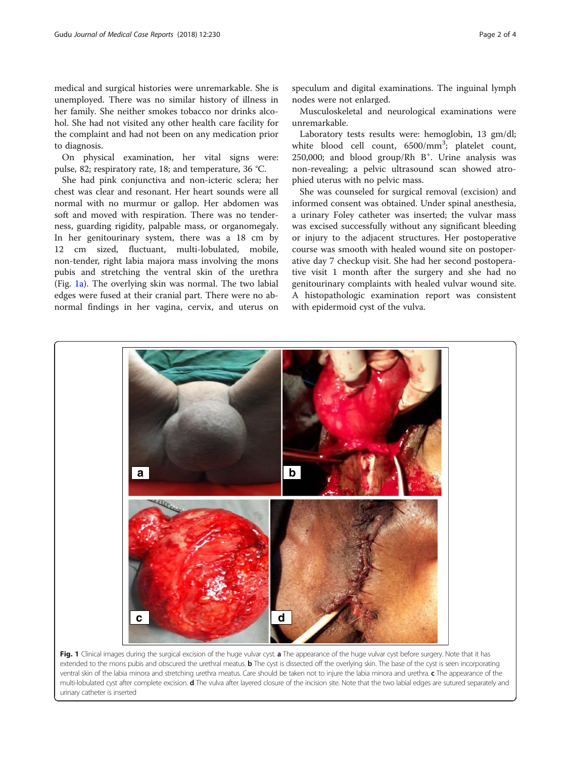<span id="page-1-0"></span>medical and surgical histories were unremarkable. She is unemployed. There was no similar history of illness in her family. She neither smokes tobacco nor drinks alcohol. She had not visited any other health care facility for the complaint and had not been on any medication prior to diagnosis.

On physical examination, her vital signs were: pulse, 82; respiratory rate, 18; and temperature, 36 °C.

She had pink conjunctiva and non-icteric sclera; her chest was clear and resonant. Her heart sounds were all normal with no murmur or gallop. Her abdomen was soft and moved with respiration. There was no tenderness, guarding rigidity, palpable mass, or organomegaly. In her genitourinary system, there was a 18 cm by 12 cm sized, fluctuant, multi-lobulated, mobile, non-tender, right labia majora mass involving the mons pubis and stretching the ventral skin of the urethra (Fig. 1a). The overlying skin was normal. The two labial edges were fused at their cranial part. There were no abnormal findings in her vagina, cervix, and uterus on

speculum and digital examinations. The inguinal lymph nodes were not enlarged.

Musculoskeletal and neurological examinations were unremarkable.

Laboratory tests results were: hemoglobin, 13 gm/dl; white blood cell count, 6500/mm<sup>3</sup>; platelet count, 250,000; and blood group/Rh B<sup>+</sup>. Urine analysis was non-revealing; a pelvic ultrasound scan showed atrophied uterus with no pelvic mass.

She was counseled for surgical removal (excision) and informed consent was obtained. Under spinal anesthesia, a urinary Foley catheter was inserted; the vulvar mass was excised successfully without any significant bleeding or injury to the adjacent structures. Her postoperative course was smooth with healed wound site on postoperative day 7 checkup visit. She had her second postoperative visit 1 month after the surgery and she had no genitourinary complaints with healed vulvar wound site. A histopathologic examination report was consistent with epidermoid cyst of the vulva.



ventral skin of the labia minora and stretching urethra meatus. Care should be taken not to injure the labia minora and urethra. c The appearance of the multi-lobulated cyst after complete excision. d The vulva after layered closure of the incision site. Note that the two labial edges are sutured separately and urinary catheter is inserted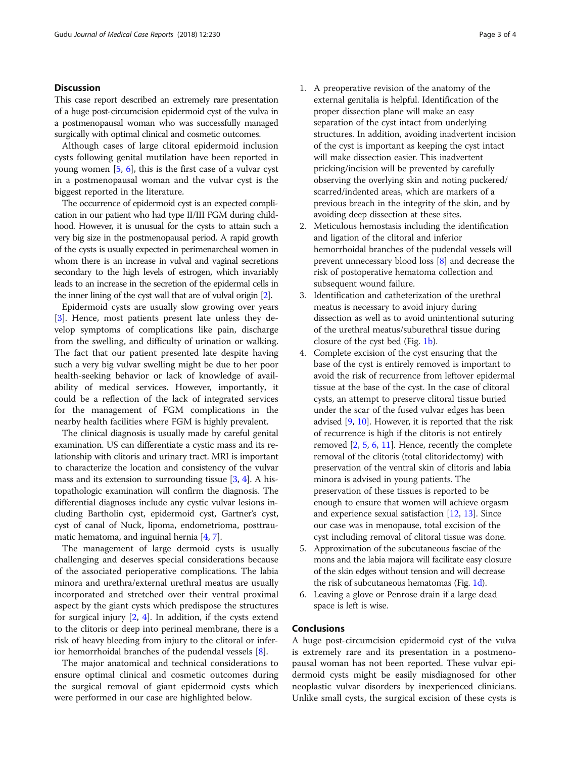# **Discussion**

This case report described an extremely rare presentation of a huge post-circumcision epidermoid cyst of the vulva in a postmenopausal woman who was successfully managed surgically with optimal clinical and cosmetic outcomes.

Although cases of large clitoral epidermoid inclusion cysts following genital mutilation have been reported in young women [\[5](#page-3-0), [6](#page-3-0)], this is the first case of a vulvar cyst in a postmenopausal woman and the vulvar cyst is the biggest reported in the literature.

The occurrence of epidermoid cyst is an expected complication in our patient who had type II/III FGM during childhood. However, it is unusual for the cysts to attain such a very big size in the postmenopausal period. A rapid growth of the cysts is usually expected in perimenarcheal women in whom there is an increase in vulval and vaginal secretions secondary to the high levels of estrogen, which invariably leads to an increase in the secretion of the epidermal cells in the inner lining of the cyst wall that are of vulval origin [[2](#page-3-0)].

Epidermoid cysts are usually slow growing over years [[3\]](#page-3-0). Hence, most patients present late unless they develop symptoms of complications like pain, discharge from the swelling, and difficulty of urination or walking. The fact that our patient presented late despite having such a very big vulvar swelling might be due to her poor health-seeking behavior or lack of knowledge of availability of medical services. However, importantly, it could be a reflection of the lack of integrated services for the management of FGM complications in the nearby health facilities where FGM is highly prevalent.

The clinical diagnosis is usually made by careful genital examination. US can differentiate a cystic mass and its relationship with clitoris and urinary tract. MRI is important to characterize the location and consistency of the vulvar mass and its extension to surrounding tissue [[3,](#page-3-0) [4](#page-3-0)]. A histopathologic examination will confirm the diagnosis. The differential diagnoses include any cystic vulvar lesions including Bartholin cyst, epidermoid cyst, Gartner's cyst, cyst of canal of Nuck, lipoma, endometrioma, posttraumatic hematoma, and inguinal hernia [\[4,](#page-3-0) [7](#page-3-0)].

The management of large dermoid cysts is usually challenging and deserves special considerations because of the associated perioperative complications. The labia minora and urethra/external urethral meatus are usually incorporated and stretched over their ventral proximal aspect by the giant cysts which predispose the structures for surgical injury [[2,](#page-3-0) [4](#page-3-0)]. In addition, if the cysts extend to the clitoris or deep into perineal membrane, there is a risk of heavy bleeding from injury to the clitoral or inferior hemorrhoidal branches of the pudendal vessels [[8\]](#page-3-0).

The major anatomical and technical considerations to ensure optimal clinical and cosmetic outcomes during the surgical removal of giant epidermoid cysts which were performed in our case are highlighted below.

- 1. A preoperative revision of the anatomy of the external genitalia is helpful. Identification of the proper dissection plane will make an easy separation of the cyst intact from underlying structures. In addition, avoiding inadvertent incision of the cyst is important as keeping the cyst intact will make dissection easier. This inadvertent pricking/incision will be prevented by carefully observing the overlying skin and noting puckered/ scarred/indented areas, which are markers of a previous breach in the integrity of the skin, and by avoiding deep dissection at these sites.
- 2. Meticulous hemostasis including the identification and ligation of the clitoral and inferior hemorrhoidal branches of the pudendal vessels will prevent unnecessary blood loss [[8](#page-3-0)] and decrease the risk of postoperative hematoma collection and subsequent wound failure.
- 3. Identification and catheterization of the urethral meatus is necessary to avoid injury during dissection as well as to avoid unintentional suturing of the urethral meatus/suburethral tissue during closure of the cyst bed (Fig. [1b\)](#page-1-0).
- 4. Complete excision of the cyst ensuring that the base of the cyst is entirely removed is important to avoid the risk of recurrence from leftover epidermal tissue at the base of the cyst. In the case of clitoral cysts, an attempt to preserve clitoral tissue buried under the scar of the fused vulvar edges has been advised [[9,](#page-3-0) [10](#page-3-0)]. However, it is reported that the risk of recurrence is high if the clitoris is not entirely removed [\[2](#page-3-0), [5](#page-3-0), [6](#page-3-0), [11\]](#page-3-0). Hence, recently the complete removal of the clitoris (total clitoridectomy) with preservation of the ventral skin of clitoris and labia minora is advised in young patients. The preservation of these tissues is reported to be enough to ensure that women will achieve orgasm and experience sexual satisfaction [\[12,](#page-3-0) [13](#page-3-0)]. Since our case was in menopause, total excision of the cyst including removal of clitoral tissue was done.
- 5. Approximation of the subcutaneous fasciae of the mons and the labia majora will facilitate easy closure of the skin edges without tension and will decrease the risk of subcutaneous hematomas (Fig. [1d\)](#page-1-0).
- 6. Leaving a glove or Penrose drain if a large dead space is left is wise.

# Conclusions

A huge post-circumcision epidermoid cyst of the vulva is extremely rare and its presentation in a postmenopausal woman has not been reported. These vulvar epidermoid cysts might be easily misdiagnosed for other neoplastic vulvar disorders by inexperienced clinicians. Unlike small cysts, the surgical excision of these cysts is